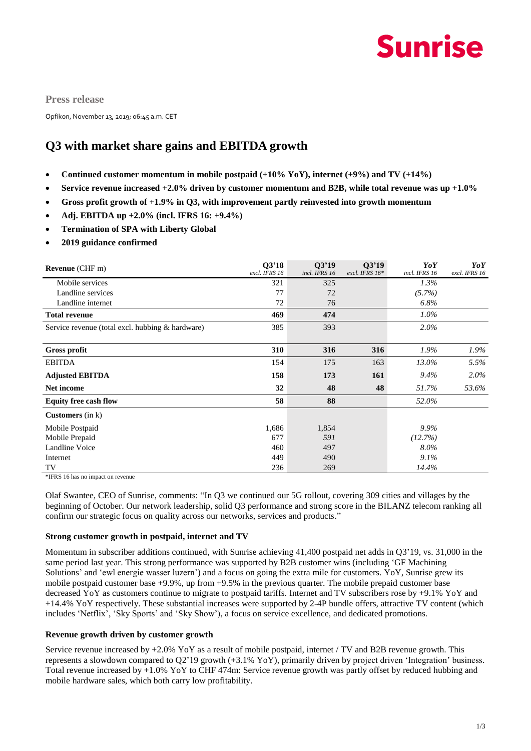

**Press release**

Opfikon, November 13, 2019; 06:45 a.m. CET

### **Q3 with market share gains and EBITDA growth**

- **Continued customer momentum in mobile postpaid (+10% YoY), internet (+9%) and TV (+14%)**
- **Service revenue increased +2.0% driven by customer momentum and B2B, while total revenue was up +1.0%**
- **Gross profit growth of +1.9% in Q3, with improvement partly reinvested into growth momentum**
- **Adj. EBITDA up +2.0% (incl. IFRS 16: +9.4%)**
- **Termination of SPA with Liberty Global**
- **2019 guidance confirmed**

| <b>Revenue</b> (CHF m)                           | 03'18<br>excl. IFRS 16 | 03'19<br>incl. IFRS 16 | 03'19<br>excl. IFRS 16* | YoY<br>incl. IFRS 16 | YoY<br>excl. IFRS 16 |
|--------------------------------------------------|------------------------|------------------------|-------------------------|----------------------|----------------------|
| Mobile services                                  | 321                    | 325                    |                         | 1.3%                 |                      |
| Landline services                                | 77                     | 72                     |                         | (5.7%)               |                      |
| Landline internet                                | 72                     | 76                     |                         | 6.8%                 |                      |
| <b>Total revenue</b>                             | 469                    | 474                    |                         | $1.0\%$              |                      |
| Service revenue (total excl. hubbing & hardware) | 385                    | 393                    |                         | $2.0\%$              |                      |
|                                                  |                        |                        |                         |                      |                      |
| <b>Gross profit</b>                              | 310                    | 316                    | 316                     | $1.9\%$              | $1.9\%$              |
| <b>EBITDA</b>                                    | 154                    | 175                    | 163                     | 13.0%                | 5.5%                 |
| <b>Adjusted EBITDA</b>                           | 158                    | 173                    | <b>161</b>              | $9.4\%$              | $2.0\%$              |
| Net income                                       | 32                     | 48                     | 48                      | 51.7%                | 53.6%                |
| <b>Equity free cash flow</b>                     | 58                     | 88                     |                         | 52.0%                |                      |
| <b>Customers</b> (in $k$ )                       |                        |                        |                         |                      |                      |
| Mobile Postpaid                                  | 1,686                  | 1,854                  |                         | 9.9%                 |                      |
| Mobile Prepaid                                   | 677                    | 591                    |                         | (12.7%)              |                      |
| Landline Voice                                   | 460                    | 497                    |                         | 8.0%                 |                      |
| Internet                                         | 449                    | 490                    |                         | $9.1\%$              |                      |
| TV                                               | 236                    | 269                    |                         | 14.4%                |                      |

\*IFRS 16 has no impact on revenue

Olaf Swantee, CEO of Sunrise, comments: "In Q3 we continued our 5G rollout, covering 309 cities and villages by the beginning of October. Our network leadership, solid Q3 performance and strong score in the BILANZ telecom ranking all confirm our strategic focus on quality across our networks, services and products."

#### **Strong customer growth in postpaid, internet and TV**

Momentum in subscriber additions continued, with Sunrise achieving 41,400 postpaid net adds in Q3'19, vs. 31,000 in the same period last year. This strong performance was supported by B2B customer wins (including 'GF Machining Solutions' and 'ewl energie wasser luzern') and a focus on going the extra mile for customers. YoY, Sunrise grew its mobile postpaid customer base +9.9%, up from +9.5% in the previous quarter. The mobile prepaid customer base decreased YoY as customers continue to migrate to postpaid tariffs. Internet and TV subscribers rose by +9.1% YoY and +14.4% YoY respectively. These substantial increases were supported by 2-4P bundle offers, attractive TV content (which includes 'Netflix', 'Sky Sports' and 'Sky Show'), a focus on service excellence, and dedicated promotions.

#### **Revenue growth driven by customer growth**

Service revenue increased by +2.0% YoY as a result of mobile postpaid, internet / TV and B2B revenue growth. This represents a slowdown compared to Q2'19 growth  $(+3.1\%$  YoY), primarily driven by project driven 'Integration' business. Total revenue increased by +1.0% YoY to CHF 474m: Service revenue growth was partly offset by reduced hubbing and mobile hardware sales, which both carry low profitability.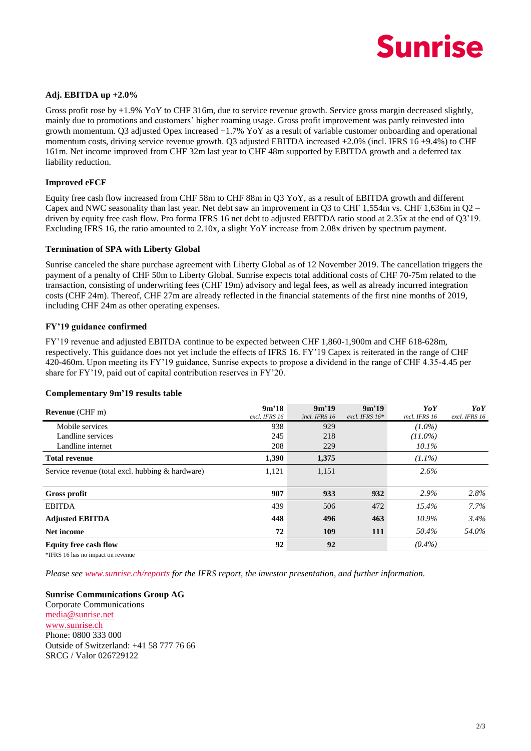# **Sunrise**

### **Adj. EBITDA up +2.0%**

Gross profit rose by +1.9% YoY to CHF 316m, due to service revenue growth. Service gross margin decreased slightly, mainly due to promotions and customers' higher roaming usage. Gross profit improvement was partly reinvested into growth momentum. Q3 adjusted Opex increased  $+1.7\%$  YoY as a result of variable customer onboarding and operational momentum costs, driving service revenue growth. Q3 adjusted EBITDA increased +2.0% (incl. IFRS 16 +9.4%) to CHF 161m. Net income improved from CHF 32m last year to CHF 48m supported by EBITDA growth and a deferred tax liability reduction.

#### **Improved eFCF**

Equity free cash flow increased from CHF 58m to CHF 88m in O3 YoY, as a result of EBITDA growth and different Capex and NWC seasonality than last year. Net debt saw an improvement in Q3 to CHF 1,554m vs. CHF 1,636m in Q2 – driven by equity free cash flow. Pro forma IFRS 16 net debt to adjusted EBITDA ratio stood at 2.35x at the end of Q3'19. Excluding IFRS 16, the ratio amounted to 2.10x, a slight YoY increase from 2.08x driven by spectrum payment.

#### **Termination of SPA with Liberty Global**

Sunrise canceled the share purchase agreement with Liberty Global as of 12 November 2019. The cancellation triggers the payment of a penalty of CHF 50m to Liberty Global. Sunrise expects total additional costs of CHF 70-75m related to the transaction, consisting of underwriting fees (CHF 19m) advisory and legal fees, as well as already incurred integration costs (CHF 24m). Thereof, CHF 27m are already reflected in the financial statements of the first nine months of 2019, including CHF 24m as other operating expenses.

#### **FY'19 guidance confirmed**

FY'19 revenue and adjusted EBITDA continue to be expected between CHF 1,860-1,900m and CHF 618-628m, respectively. This guidance does not yet include the effects of IFRS 16. FY'19 Capex is reiterated in the range of CHF 420-460m. Upon meeting its FY'19 guidance, Sunrise expects to propose a dividend in the range of CHF 4.35-4.45 per share for FY'19, paid out of capital contribution reserves in FY'20.

#### **Complementary 9m'19 results table**

| <b>Revenue</b> (CHF m)                           | 9m'18<br>excl. IFRS 16 | 9m'19<br>incl. IFRS 16 | 9m'19<br>excl. IFRS $16*$ | YoY<br>incl. IFRS 16 | YoY<br>excl. IFRS 16 |
|--------------------------------------------------|------------------------|------------------------|---------------------------|----------------------|----------------------|
| Mobile services                                  | 938                    | 929                    |                           | $(1.0\%)$            |                      |
| Landline services                                | 245                    | 218                    |                           | $(11.0\%)$           |                      |
| Landline internet                                | 208                    | 229                    |                           | $10.1\%$             |                      |
| <b>Total revenue</b>                             | 1,390                  | 1,375                  |                           | $(1.1\%)$            |                      |
| Service revenue (total excl. hubbing & hardware) | 1,121                  | 1,151                  |                           | $2.6\%$              |                      |
|                                                  |                        |                        |                           |                      |                      |
| <b>Gross profit</b>                              | 907                    | 933                    | 932                       | 2.9%                 | 2.8%                 |
| <b>EBITDA</b>                                    | 439                    | 506                    | 472                       | 15.4%                | $7.7\%$              |
| <b>Adjusted EBITDA</b>                           | 448                    | 496                    | 463                       | $10.9\%$             | $3.4\%$              |
| Net income                                       | 72                     | 109                    | 111                       | 50.4%                | 54.0%                |
| <b>Equity free cash flow</b>                     | 92                     | 92                     |                           | $(0.4\%)$            |                      |

\*IFRS 16 has no impact on revenue

*Please see [www.sunrise.ch/reports](http://www.sunrise.ch/reports) for the IFRS report, the investor presentation, and further information.*

**Sunrise Communications Group AG** Corporate Communications [media@sunrise.net](mailto:media@sunrise.net) [www.sunrise.ch](http://www.sunrise.ch/) Phone: 0800 333 000 Outside of Switzerland: +41 58 777 76 66 SRCG / Valor 026729122